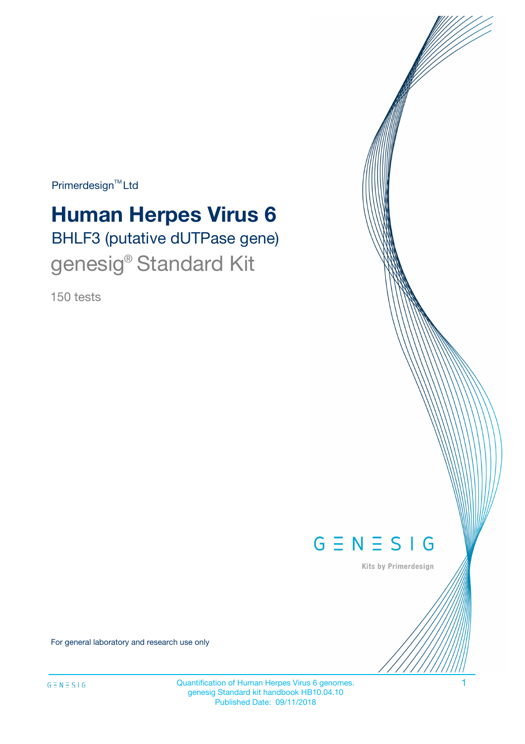$Primerdesign^{\text{TM}}Ltd$ 

# **Human Herpes Virus 6**

BHLF3 (putative dUTPase gene) genesig<sup>®</sup> Standard Kit

150 tests



Kits by Primerdesign

For general laboratory and research use only

Quantification of Human Herpes Virus 6 genomes. 1 genesig Standard kit handbook HB10.04.10 Published Date: 09/11/2018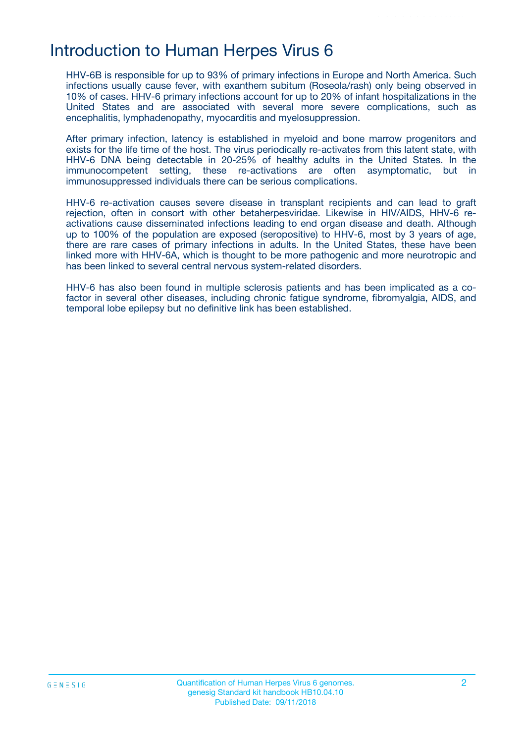# Introduction to Human Herpes Virus 6

HHV-6B is responsible for up to 93% of primary infections in Europe and North America. Such infections usually cause fever, with exanthem subitum (Roseola/rash) only being observed in 10% of cases. HHV-6 primary infections account for up to 20% of infant hospitalizations in the United States and are associated with several more severe complications, such as encephalitis, lymphadenopathy, myocarditis and myelosuppression.

After primary infection, latency is established in myeloid and bone marrow progenitors and exists for the life time of the host. The virus periodically re-activates from this latent state, with HHV-6 DNA being detectable in 20-25% of healthy adults in the United States. In the immunocompetent setting, these re-activations are often asymptomatic, but in immunosuppressed individuals there can be serious complications.

HHV-6 re-activation causes severe disease in transplant recipients and can lead to graft rejection, often in consort with other betaherpesviridae. Likewise in HIV/AIDS, HHV-6 reactivations cause disseminated infections leading to end organ disease and death. Although up to 100% of the population are exposed (seropositive) to HHV-6, most by 3 years of age, there are rare cases of primary infections in adults. In the United States, these have been linked more with HHV-6A, which is thought to be more pathogenic and more neurotropic and has been linked to several central nervous system-related disorders.

HHV-6 has also been found in multiple sclerosis patients and has been implicated as a cofactor in several other diseases, including chronic fatigue syndrome, fibromyalgia, AIDS, and temporal lobe epilepsy but no definitive link has been established.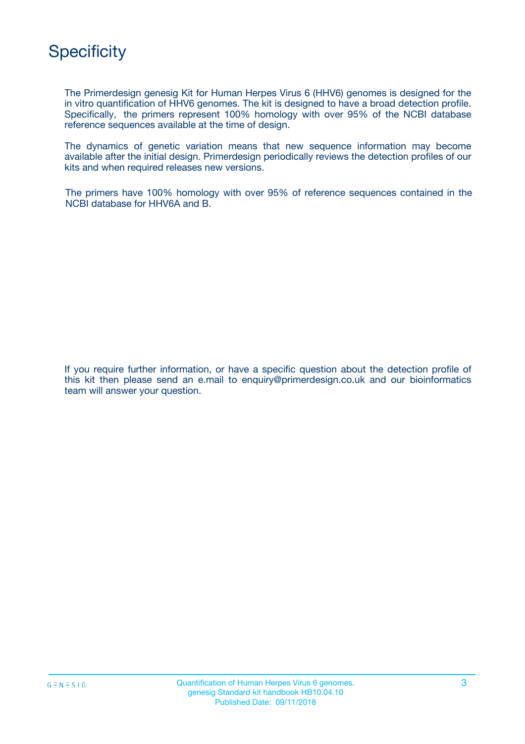

The Primerdesign genesig Kit for Human Herpes Virus 6 (HHV6) genomes is designed for the in vitro quantification of HHV6 genomes. The kit is designed to have a broad detection profile. Specifically, the primers represent 100% homology with over 95% of the NCBI database reference sequences available at the time of design.

The dynamics of genetic variation means that new sequence information may become available after the initial design. Primerdesign periodically reviews the detection profiles of our kits and when required releases new versions.

The primers have 100% homology with over 95% of reference sequences contained in the NCBI database for HHV6A and B.

If you require further information, or have a specific question about the detection profile of this kit then please send an e.mail to enquiry@primerdesign.co.uk and our bioinformatics team will answer your question.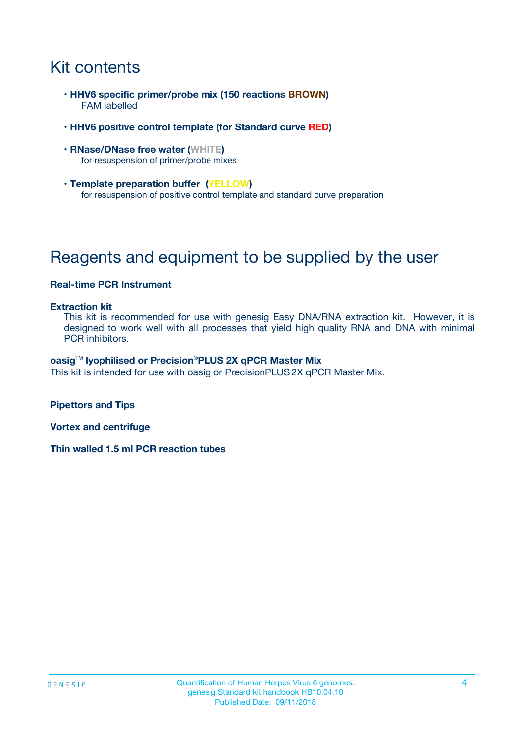# Kit contents

- **HHV6 specific primer/probe mix (150 reactions BROWN)** FAM labelled
- **HHV6 positive control template (for Standard curve RED)**
- **RNase/DNase free water (WHITE)** for resuspension of primer/probe mixes
- **Template preparation buffer (YELLOW)** for resuspension of positive control template and standard curve preparation

# Reagents and equipment to be supplied by the user

#### **Real-time PCR Instrument**

#### **Extraction kit**

This kit is recommended for use with genesig Easy DNA/RNA extraction kit. However, it is designed to work well with all processes that yield high quality RNA and DNA with minimal PCR inhibitors.

#### **oasig**TM **lyophilised or Precision**®**PLUS 2X qPCR Master Mix**

This kit is intended for use with oasig or PrecisionPLUS2X qPCR Master Mix.

**Pipettors and Tips**

**Vortex and centrifuge**

**Thin walled 1.5 ml PCR reaction tubes**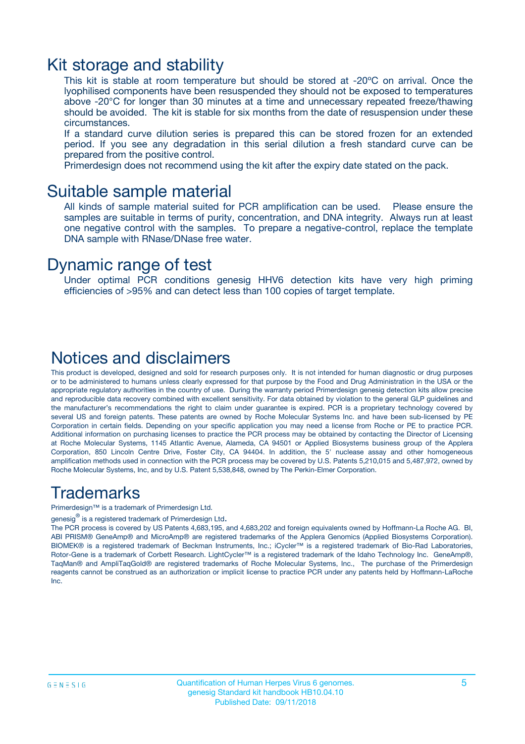### Kit storage and stability

This kit is stable at room temperature but should be stored at -20ºC on arrival. Once the lyophilised components have been resuspended they should not be exposed to temperatures above -20°C for longer than 30 minutes at a time and unnecessary repeated freeze/thawing should be avoided. The kit is stable for six months from the date of resuspension under these circumstances.

If a standard curve dilution series is prepared this can be stored frozen for an extended period. If you see any degradation in this serial dilution a fresh standard curve can be prepared from the positive control.

Primerdesign does not recommend using the kit after the expiry date stated on the pack.

### Suitable sample material

All kinds of sample material suited for PCR amplification can be used. Please ensure the samples are suitable in terms of purity, concentration, and DNA integrity. Always run at least one negative control with the samples. To prepare a negative-control, replace the template DNA sample with RNase/DNase free water.

### Dynamic range of test

Under optimal PCR conditions genesig HHV6 detection kits have very high priming efficiencies of >95% and can detect less than 100 copies of target template.

### Notices and disclaimers

This product is developed, designed and sold for research purposes only. It is not intended for human diagnostic or drug purposes or to be administered to humans unless clearly expressed for that purpose by the Food and Drug Administration in the USA or the appropriate regulatory authorities in the country of use. During the warranty period Primerdesign genesig detection kits allow precise and reproducible data recovery combined with excellent sensitivity. For data obtained by violation to the general GLP guidelines and the manufacturer's recommendations the right to claim under guarantee is expired. PCR is a proprietary technology covered by several US and foreign patents. These patents are owned by Roche Molecular Systems Inc. and have been sub-licensed by PE Corporation in certain fields. Depending on your specific application you may need a license from Roche or PE to practice PCR. Additional information on purchasing licenses to practice the PCR process may be obtained by contacting the Director of Licensing at Roche Molecular Systems, 1145 Atlantic Avenue, Alameda, CA 94501 or Applied Biosystems business group of the Applera Corporation, 850 Lincoln Centre Drive, Foster City, CA 94404. In addition, the 5' nuclease assay and other homogeneous amplification methods used in connection with the PCR process may be covered by U.S. Patents 5,210,015 and 5,487,972, owned by Roche Molecular Systems, Inc, and by U.S. Patent 5,538,848, owned by The Perkin-Elmer Corporation.

### Trademarks

Primerdesign™ is a trademark of Primerdesign Ltd.

genesig $^\circledR$  is a registered trademark of Primerdesign Ltd.

The PCR process is covered by US Patents 4,683,195, and 4,683,202 and foreign equivalents owned by Hoffmann-La Roche AG. BI, ABI PRISM® GeneAmp® and MicroAmp® are registered trademarks of the Applera Genomics (Applied Biosystems Corporation). BIOMEK® is a registered trademark of Beckman Instruments, Inc.; iCycler™ is a registered trademark of Bio-Rad Laboratories, Rotor-Gene is a trademark of Corbett Research. LightCycler™ is a registered trademark of the Idaho Technology Inc. GeneAmp®, TaqMan® and AmpliTaqGold® are registered trademarks of Roche Molecular Systems, Inc., The purchase of the Primerdesign reagents cannot be construed as an authorization or implicit license to practice PCR under any patents held by Hoffmann-LaRoche Inc.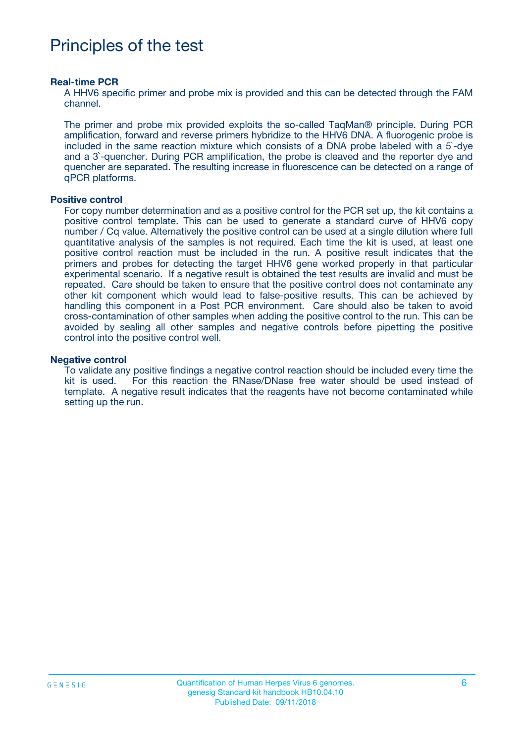# Principles of the test

#### **Real-time PCR**

A HHV6 specific primer and probe mix is provided and this can be detected through the FAM channel.

The primer and probe mix provided exploits the so-called TaqMan® principle. During PCR amplification, forward and reverse primers hybridize to the HHV6 DNA. A fluorogenic probe is included in the same reaction mixture which consists of a DNA probe labeled with a 5`-dye and a 3`-quencher. During PCR amplification, the probe is cleaved and the reporter dye and quencher are separated. The resulting increase in fluorescence can be detected on a range of qPCR platforms.

#### **Positive control**

For copy number determination and as a positive control for the PCR set up, the kit contains a positive control template. This can be used to generate a standard curve of HHV6 copy number / Cq value. Alternatively the positive control can be used at a single dilution where full quantitative analysis of the samples is not required. Each time the kit is used, at least one positive control reaction must be included in the run. A positive result indicates that the primers and probes for detecting the target HHV6 gene worked properly in that particular experimental scenario. If a negative result is obtained the test results are invalid and must be repeated. Care should be taken to ensure that the positive control does not contaminate any other kit component which would lead to false-positive results. This can be achieved by handling this component in a Post PCR environment. Care should also be taken to avoid cross-contamination of other samples when adding the positive control to the run. This can be avoided by sealing all other samples and negative controls before pipetting the positive control into the positive control well.

#### **Negative control**

To validate any positive findings a negative control reaction should be included every time the kit is used. For this reaction the RNase/DNase free water should be used instead of template. A negative result indicates that the reagents have not become contaminated while setting up the run.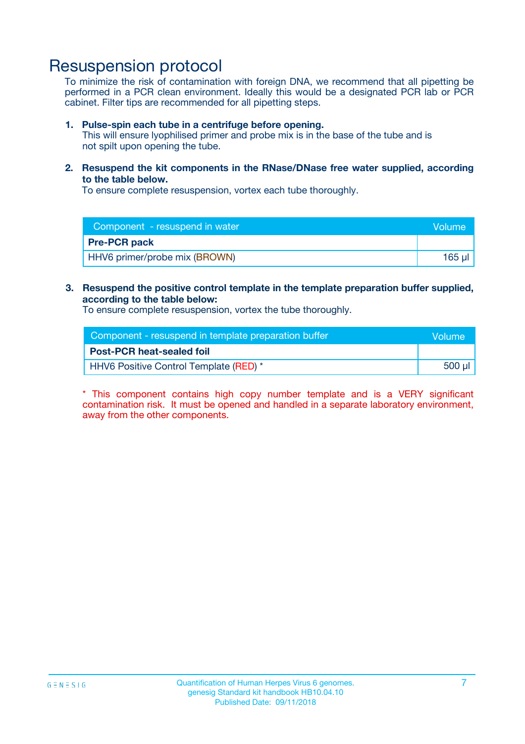### Resuspension protocol

To minimize the risk of contamination with foreign DNA, we recommend that all pipetting be performed in a PCR clean environment. Ideally this would be a designated PCR lab or PCR cabinet. Filter tips are recommended for all pipetting steps.

#### **1. Pulse-spin each tube in a centrifuge before opening.**

This will ensure lyophilised primer and probe mix is in the base of the tube and is not spilt upon opening the tube.

**2. Resuspend the kit components in the RNase/DNase free water supplied, according to the table below.**

To ensure complete resuspension, vortex each tube thoroughly.

| Component - resuspend in water<br>Volume |        |
|------------------------------------------|--------|
| <b>Pre-PCR pack</b>                      |        |
| HHV6 primer/probe mix (BROWN)            | 165 ul |

### **3. Resuspend the positive control template in the template preparation buffer supplied, according to the table below:**

To ensure complete resuspension, vortex the tube thoroughly.

| Component - resuspend in template preparation buffer |        |  |
|------------------------------------------------------|--------|--|
| <b>Post-PCR heat-sealed foil</b>                     |        |  |
| <b>HHV6 Positive Control Template (RED)</b> *        | 500 µl |  |

\* This component contains high copy number template and is a VERY significant contamination risk. It must be opened and handled in a separate laboratory environment, away from the other components.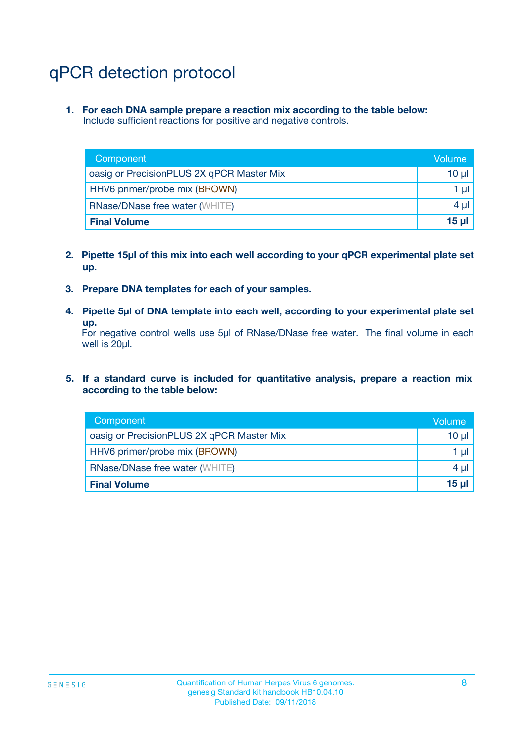# qPCR detection protocol

**1. For each DNA sample prepare a reaction mix according to the table below:** Include sufficient reactions for positive and negative controls.

| Component                                 | Volume   |
|-------------------------------------------|----------|
| oasig or PrecisionPLUS 2X qPCR Master Mix | 10 $\mu$ |
| HHV6 primer/probe mix (BROWN)             | 1 $\mu$  |
| <b>RNase/DNase free water (WHITE)</b>     | $4 \mu$  |
| <b>Final Volume</b>                       | $15$ µ   |

- **2. Pipette 15µl of this mix into each well according to your qPCR experimental plate set up.**
- **3. Prepare DNA templates for each of your samples.**
- **4. Pipette 5µl of DNA template into each well, according to your experimental plate set up.**

For negative control wells use 5µl of RNase/DNase free water. The final volume in each well is 20µl.

**5. If a standard curve is included for quantitative analysis, prepare a reaction mix according to the table below:**

| Component                                 | Volume          |
|-------------------------------------------|-----------------|
| oasig or PrecisionPLUS 2X qPCR Master Mix | $10 \mu$        |
| HHV6 primer/probe mix (BROWN)             | 1 µI            |
| <b>RNase/DNase free water (WHITE)</b>     | $4 \mu$         |
| <b>Final Volume</b>                       | 15 <sub>µ</sub> |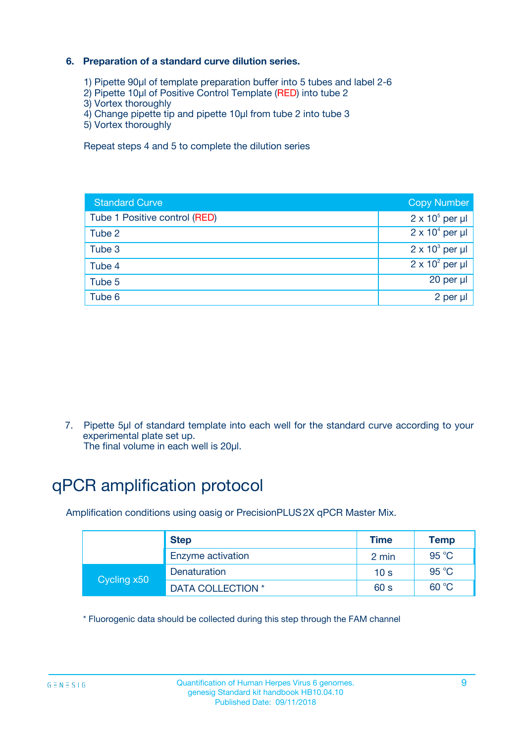### **6. Preparation of a standard curve dilution series.**

- 1) Pipette 90µl of template preparation buffer into 5 tubes and label 2-6
- 2) Pipette 10µl of Positive Control Template (RED) into tube 2
- 3) Vortex thoroughly
- 4) Change pipette tip and pipette 10µl from tube 2 into tube 3
- 5) Vortex thoroughly

Repeat steps 4 and 5 to complete the dilution series

| <b>Standard Curve</b>         | <b>Copy Number</b>     |
|-------------------------------|------------------------|
| Tube 1 Positive control (RED) | $2 \times 10^5$ per µl |
| Tube 2                        | $2 \times 10^4$ per µl |
| Tube 3                        | $2 \times 10^3$ per µl |
| Tube 4                        | $2 \times 10^2$ per µl |
| Tube 5                        | 20 per µl              |
| Tube 6                        | $2$ per $\mu$          |

7. Pipette 5µl of standard template into each well for the standard curve according to your experimental plate set up.

The final volume in each well is 20µl.

# qPCR amplification protocol

Amplification conditions using oasig or PrecisionPLUS2X qPCR Master Mix.

|             | <b>Step</b>       | <b>Time</b>     | Temp    |
|-------------|-------------------|-----------------|---------|
|             | Enzyme activation | 2 min           | 95 °C   |
| Cycling x50 | Denaturation      | 10 <sub>s</sub> | 95 $°C$ |
|             | DATA COLLECTION * | 60 s            | 60 °C   |

\* Fluorogenic data should be collected during this step through the FAM channel